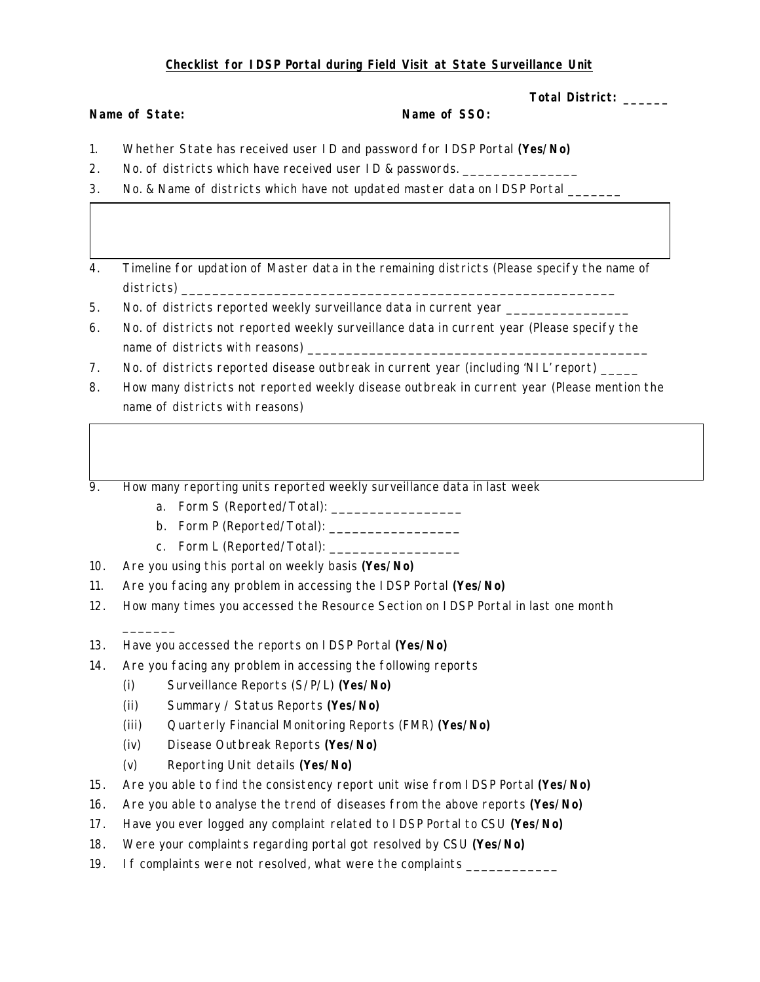## **Checklist for IDSP Portal during Field Visit at State Surveillance Unit**

**Total District: \_\_\_\_\_\_**

| Name of State: | Name of SSO: |
|----------------|--------------|
|----------------|--------------|

- 1. Whether State has received user ID and password for IDSP Portal **(Yes/No)**
- 2. No. of districts which have received user ID & passwords. \_\_\_\_\_\_\_\_\_\_\_\_\_
- 3. No. & Name of districts which have not updated master data on IDSP Portal \_\_\_\_\_
- 4. Timeline for updation of Master data in the remaining districts (Please specify the name of districts) \_\_\_\_\_\_\_\_\_\_\_\_\_\_\_\_\_\_\_\_\_\_\_\_\_\_\_\_\_\_\_\_\_\_\_\_\_\_\_\_\_\_\_\_\_\_\_\_\_\_\_\_\_\_\_\_
- 5. No. of districts reported weekly surveillance data in current year \_\_\_\_\_\_\_\_\_\_
- 6. No. of districts not reported weekly surveillance data in current year (Please specify the name of districts with reasons) \_\_\_\_\_\_\_\_\_\_\_\_\_\_\_\_\_\_\_\_\_\_\_\_\_\_\_\_\_\_\_\_\_\_\_\_\_\_\_\_\_\_\_\_
- 7. No. of districts reported disease outbreak in current year (including 'NIL' report) \_\_\_\_\_
- 8. How many districts not reported weekly disease outbreak in current year (Please mention the name of districts with reasons)

9. How many reporting units reported weekly surveillance data in last week

- a. Form S (Reported/Total):
- b. Form P (Reported/Total):
- c. Form L (Reported/Total):
- 10. Are you using this portal on weekly basis **(Yes/No)**

 $\overline{\phantom{a}}$ 

- 11. Are you facing any problem in accessing the IDSP Portal **(Yes/No)**
- 12. How many times you accessed the Resource Section on IDSP Portal in last one month
- 13. Have you accessed the reports on IDSP Portal **(Yes/No)**
- 14. Are you facing any problem in accessing the following reports
	- (i) Surveillance Reports (S/P/L) **(Yes/No)**
	- (ii) Summary / Status Reports **(Yes/No)**
	- (iii) Quarterly Financial Monitoring Reports (FMR) **(Yes/No)**
	- (iv) Disease Outbreak Reports **(Yes/No)**
	- (v) Reporting Unit details **(Yes/No)**
- 15. Are you able to find the consistency report unit wise from IDSP Portal **(Yes/No)**
- 16. Are you able to analyse the trend of diseases from the above reports **(Yes/No)**
- 17. Have you ever logged any complaint related to IDSP Portal to CSU **(Yes/No)**
- 18. Were your complaints regarding portal got resolved by CSU **(Yes/No)**
- 19. If complaints were not resolved, what were the complaints \_\_\_\_\_\_\_\_\_\_\_\_\_